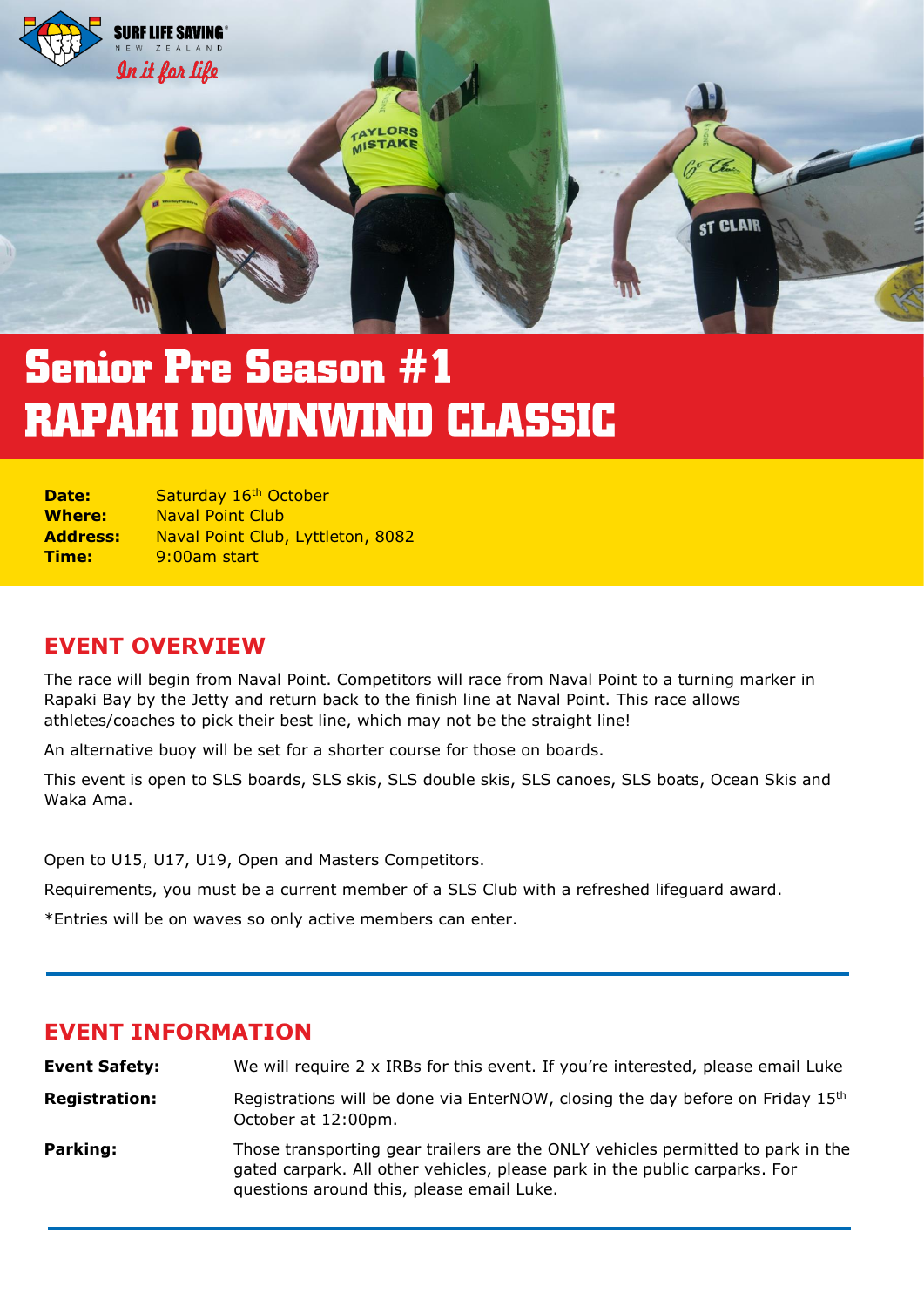

# **Senior Pre Season #1 RAPAKI DOWNWIND CLASSIC**

| Date:           | Saturday 16 <sup>th</sup> October |
|-----------------|-----------------------------------|
| <b>Where:</b>   | <b>Naval Point Club</b>           |
| <b>Address:</b> | Naval Point Club, Lyttleton, 8082 |
| Time:           | 9:00am start                      |

## **EVENT OVERVIEW**

The race will begin from Naval Point. Competitors will race from Naval Point to a turning marker in Rapaki Bay by the Jetty and return back to the finish line at Naval Point. This race allows athletes/coaches to pick their best line, which may not be the straight line!

An alternative buoy will be set for a shorter course for those on boards.

This event is open to SLS boards, SLS skis, SLS double skis, SLS canoes, SLS boats, Ocean Skis and Waka Ama.

Open to U15, U17, U19, Open and Masters Competitors.

Requirements, you must be a current member of a SLS Club with a refreshed lifeguard award.

\*Entries will be on waves so only active members can enter.

#### **EVENT INFORMATION**

| <b>Event Safety:</b> | We will require 2 x IRBs for this event. If you're interested, please email Luke                                                                                                                           |
|----------------------|------------------------------------------------------------------------------------------------------------------------------------------------------------------------------------------------------------|
| <b>Registration:</b> | Registrations will be done via EnterNOW, closing the day before on Friday 15 <sup>th</sup><br>October at 12:00pm.                                                                                          |
| Parking:             | Those transporting gear trailers are the ONLY vehicles permitted to park in the<br>gated carpark. All other vehicles, please park in the public carparks. For<br>questions around this, please email Luke. |